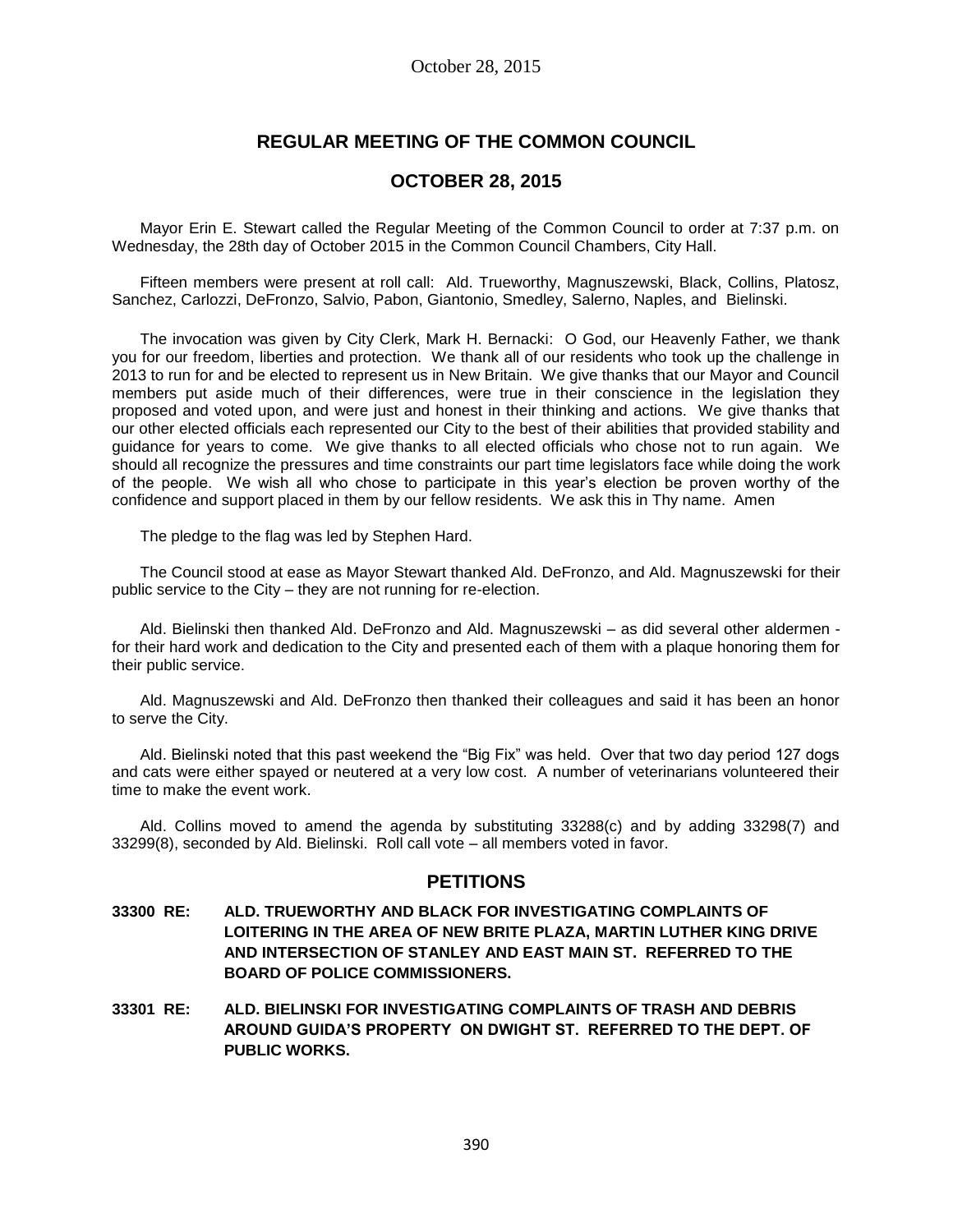# **REGULAR MEETING OF THE COMMON COUNCIL**

# **OCTOBER 28, 2015**

Mayor Erin E. Stewart called the Regular Meeting of the Common Council to order at 7:37 p.m. on Wednesday, the 28th day of October 2015 in the Common Council Chambers, City Hall.

Fifteen members were present at roll call: Ald. Trueworthy, Magnuszewski, Black, Collins, Platosz, Sanchez, Carlozzi, DeFronzo, Salvio, Pabon, Giantonio, Smedley, Salerno, Naples, and Bielinski.

The invocation was given by City Clerk, Mark H. Bernacki: O God, our Heavenly Father, we thank you for our freedom, liberties and protection. We thank all of our residents who took up the challenge in 2013 to run for and be elected to represent us in New Britain. We give thanks that our Mayor and Council members put aside much of their differences, were true in their conscience in the legislation they proposed and voted upon, and were just and honest in their thinking and actions. We give thanks that our other elected officials each represented our City to the best of their abilities that provided stability and guidance for years to come. We give thanks to all elected officials who chose not to run again. We should all recognize the pressures and time constraints our part time legislators face while doing the work of the people. We wish all who chose to participate in this year's election be proven worthy of the confidence and support placed in them by our fellow residents. We ask this in Thy name. Amen

The pledge to the flag was led by Stephen Hard.

The Council stood at ease as Mayor Stewart thanked Ald. DeFronzo, and Ald. Magnuszewski for their public service to the City – they are not running for re-election.

Ald. Bielinski then thanked Ald. DeFronzo and Ald. Magnuszewski – as did several other aldermen for their hard work and dedication to the City and presented each of them with a plaque honoring them for their public service.

Ald. Magnuszewski and Ald. DeFronzo then thanked their colleagues and said it has been an honor to serve the City.

Ald. Bielinski noted that this past weekend the "Big Fix" was held. Over that two day period 127 dogs and cats were either spayed or neutered at a very low cost. A number of veterinarians volunteered their time to make the event work.

Ald. Collins moved to amend the agenda by substituting 33288(c) and by adding 33298(7) and 33299(8), seconded by Ald. Bielinski. Roll call vote – all members voted in favor.

# **PETITIONS**

- **33300 RE: ALD. TRUEWORTHY AND BLACK FOR INVESTIGATING COMPLAINTS OF LOITERING IN THE AREA OF NEW BRITE PLAZA, MARTIN LUTHER KING DRIVE AND INTERSECTION OF STANLEY AND EAST MAIN ST. REFERRED TO THE BOARD OF POLICE COMMISSIONERS.**
- **33301 RE: ALD. BIELINSKI FOR INVESTIGATING COMPLAINTS OF TRASH AND DEBRIS AROUND GUIDA'S PROPERTY ON DWIGHT ST. REFERRED TO THE DEPT. OF PUBLIC WORKS.**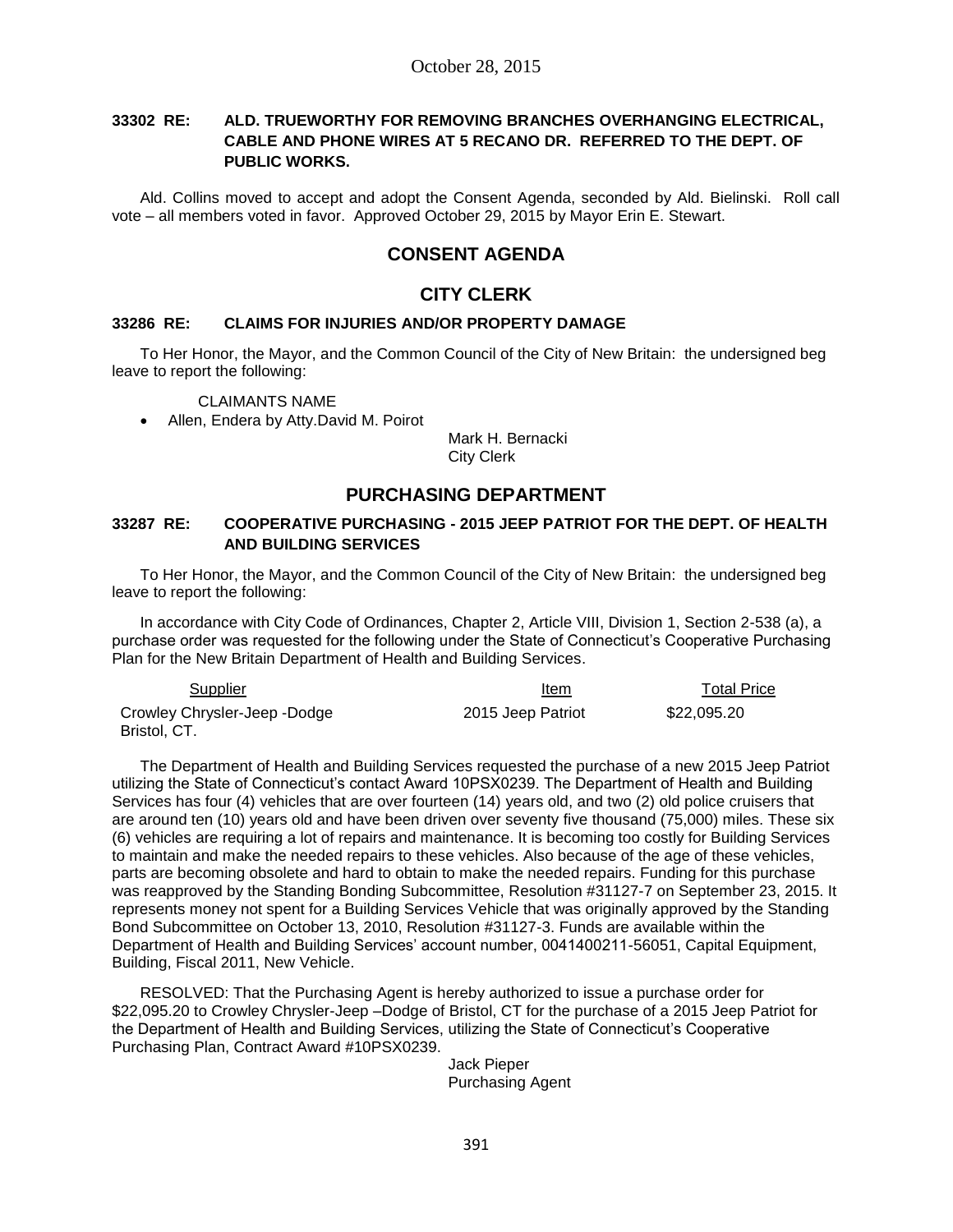### **33302 RE: ALD. TRUEWORTHY FOR REMOVING BRANCHES OVERHANGING ELECTRICAL, CABLE AND PHONE WIRES AT 5 RECANO DR. REFERRED TO THE DEPT. OF PUBLIC WORKS.**

Ald. Collins moved to accept and adopt the Consent Agenda, seconded by Ald. Bielinski. Roll call vote – all members voted in favor. Approved October 29, 2015 by Mayor Erin E. Stewart.

# **CONSENT AGENDA**

# **CITY CLERK**

#### **33286 RE: CLAIMS FOR INJURIES AND/OR PROPERTY DAMAGE**

To Her Honor, the Mayor, and the Common Council of the City of New Britain: the undersigned beg leave to report the following:

CLAIMANTS NAME

Allen, Endera by Atty.David M. Poirot

Mark H. Bernacki City Clerk

# **PURCHASING DEPARTMENT**

### **33287 RE: COOPERATIVE PURCHASING - 2015 JEEP PATRIOT FOR THE DEPT. OF HEALTH AND BUILDING SERVICES**

To Her Honor, the Mayor, and the Common Council of the City of New Britain: the undersigned beg leave to report the following:

In accordance with City Code of Ordinances, Chapter 2, Article VIII, Division 1, Section 2-538 (a), a purchase order was requested for the following under the State of Connecticut's Cooperative Purchasing Plan for the New Britain Department of Health and Building Services.

| Supplier                     | Item              | <b>Total Price</b> |
|------------------------------|-------------------|--------------------|
| Crowley Chrysler-Jeep -Dodge | 2015 Jeep Patriot | \$22.095.20        |
| Bristol. CT.                 |                   |                    |

The Department of Health and Building Services requested the purchase of a new 2015 Jeep Patriot utilizing the State of Connecticut's contact Award 10PSX0239. The Department of Health and Building Services has four (4) vehicles that are over fourteen (14) years old, and two (2) old police cruisers that are around ten (10) years old and have been driven over seventy five thousand (75,000) miles. These six (6) vehicles are requiring a lot of repairs and maintenance. It is becoming too costly for Building Services to maintain and make the needed repairs to these vehicles. Also because of the age of these vehicles, parts are becoming obsolete and hard to obtain to make the needed repairs. Funding for this purchase was reapproved by the Standing Bonding Subcommittee, Resolution #31127-7 on September 23, 2015. It represents money not spent for a Building Services Vehicle that was originally approved by the Standing Bond Subcommittee on October 13, 2010, Resolution #31127-3. Funds are available within the Department of Health and Building Services' account number, 0041400211-56051, Capital Equipment, Building, Fiscal 2011, New Vehicle.

RESOLVED: That the Purchasing Agent is hereby authorized to issue a purchase order for \$22,095.20 to Crowley Chrysler-Jeep –Dodge of Bristol, CT for the purchase of a 2015 Jeep Patriot for the Department of Health and Building Services, utilizing the State of Connecticut's Cooperative Purchasing Plan, Contract Award #10PSX0239.

> Jack Pieper Purchasing Agent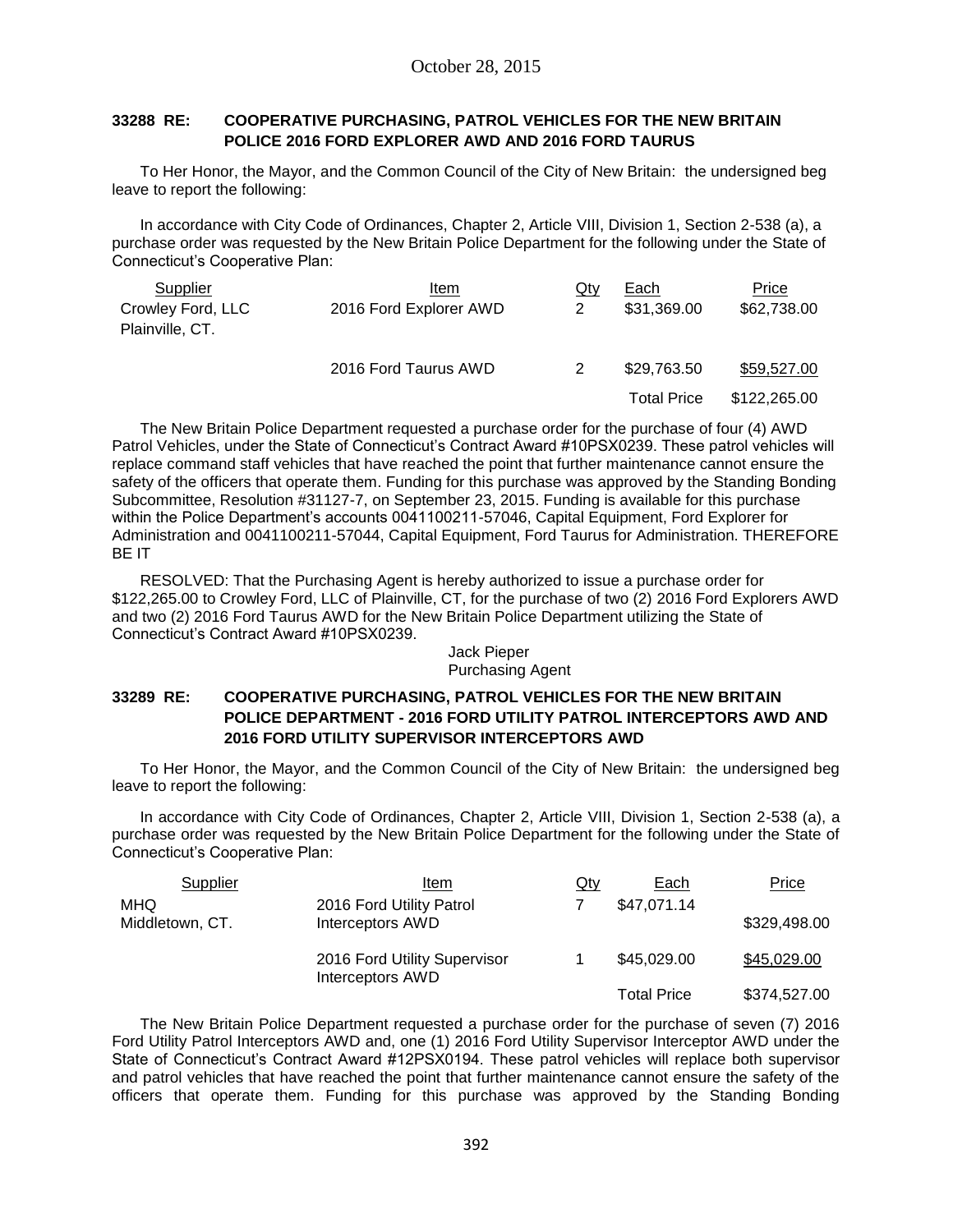### **33288 RE: COOPERATIVE PURCHASING, PATROL VEHICLES FOR THE NEW BRITAIN POLICE 2016 FORD EXPLORER AWD AND 2016 FORD TAURUS**

To Her Honor, the Mayor, and the Common Council of the City of New Britain: the undersigned beg leave to report the following:

In accordance with City Code of Ordinances, Chapter 2, Article VIII, Division 1, Section 2-538 (a), a purchase order was requested by the New Britain Police Department for the following under the State of Connecticut's Cooperative Plan:

| Supplier          | Item                   | Qty | Each               | Price        |
|-------------------|------------------------|-----|--------------------|--------------|
| Crowley Ford, LLC | 2016 Ford Explorer AWD | 2   | \$31,369.00        | \$62,738.00  |
| Plainville, CT.   |                        |     |                    |              |
|                   | 2016 Ford Taurus AWD   |     | \$29.763.50        | \$59,527.00  |
|                   |                        |     | <b>Total Price</b> | \$122,265.00 |

The New Britain Police Department requested a purchase order for the purchase of four (4) AWD Patrol Vehicles, under the State of Connecticut's Contract Award #10PSX0239. These patrol vehicles will replace command staff vehicles that have reached the point that further maintenance cannot ensure the safety of the officers that operate them. Funding for this purchase was approved by the Standing Bonding Subcommittee, Resolution #31127-7, on September 23, 2015. Funding is available for this purchase within the Police Department's accounts 0041100211-57046, Capital Equipment, Ford Explorer for Administration and 0041100211-57044, Capital Equipment, Ford Taurus for Administration. THEREFORE BE IT

RESOLVED: That the Purchasing Agent is hereby authorized to issue a purchase order for \$122,265.00 to Crowley Ford, LLC of Plainville, CT, for the purchase of two (2) 2016 Ford Explorers AWD and two (2) 2016 Ford Taurus AWD for the New Britain Police Department utilizing the State of Connecticut's Contract Award #10PSX0239.

#### Jack Pieper Purchasing Agent

### **33289 RE: COOPERATIVE PURCHASING, PATROL VEHICLES FOR THE NEW BRITAIN POLICE DEPARTMENT - 2016 FORD UTILITY PATROL INTERCEPTORS AWD AND 2016 FORD UTILITY SUPERVISOR INTERCEPTORS AWD**

To Her Honor, the Mayor, and the Common Council of the City of New Britain: the undersigned beg leave to report the following:

In accordance with City Code of Ordinances, Chapter 2, Article VIII, Division 1, Section 2-538 (a), a purchase order was requested by the New Britain Police Department for the following under the State of Connecticut's Cooperative Plan:

| Supplier                      | Item                                             | <u>Qty</u> | Each               | <b>Price</b> |
|-------------------------------|--------------------------------------------------|------------|--------------------|--------------|
| <b>MHQ</b><br>Middletown, CT. | 2016 Ford Utility Patrol<br>Interceptors AWD     |            | \$47,071.14        | \$329,498.00 |
|                               | 2016 Ford Utility Supervisor<br>Interceptors AWD |            | \$45,029.00        | \$45,029.00  |
|                               |                                                  |            | <b>Total Price</b> | \$374,527.00 |

The New Britain Police Department requested a purchase order for the purchase of seven (7) 2016 Ford Utility Patrol Interceptors AWD and, one (1) 2016 Ford Utility Supervisor Interceptor AWD under the State of Connecticut's Contract Award #12PSX0194. These patrol vehicles will replace both supervisor and patrol vehicles that have reached the point that further maintenance cannot ensure the safety of the officers that operate them. Funding for this purchase was approved by the Standing Bonding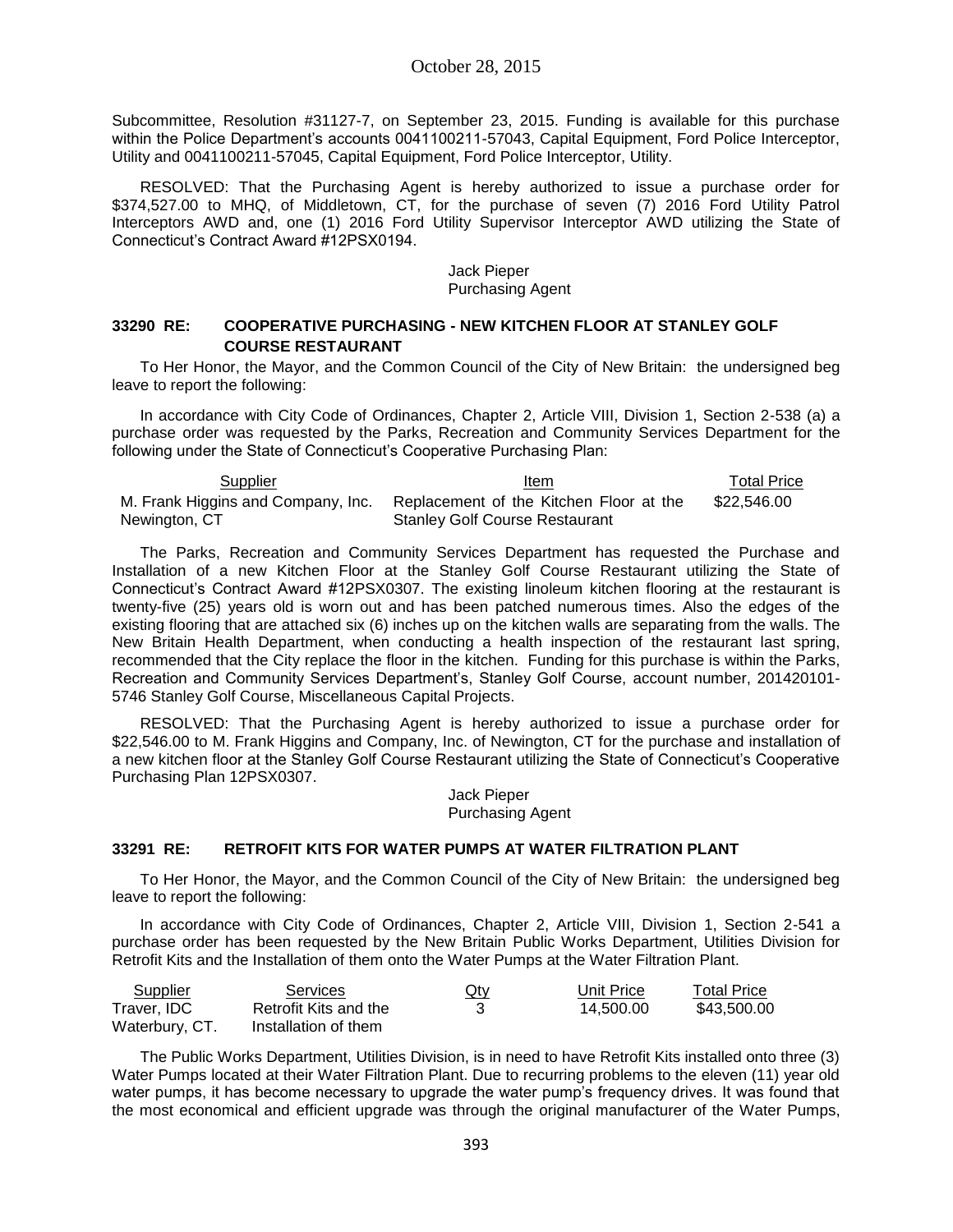Subcommittee, Resolution #31127-7, on September 23, 2015. Funding is available for this purchase within the Police Department's accounts 0041100211-57043, Capital Equipment, Ford Police Interceptor, Utility and 0041100211-57045, Capital Equipment, Ford Police Interceptor, Utility.

RESOLVED: That the Purchasing Agent is hereby authorized to issue a purchase order for \$374,527.00 to MHQ, of Middletown, CT, for the purchase of seven (7) 2016 Ford Utility Patrol Interceptors AWD and, one (1) 2016 Ford Utility Supervisor Interceptor AWD utilizing the State of Connecticut's Contract Award #12PSX0194.

#### Jack Pieper Purchasing Agent

### **33290 RE: COOPERATIVE PURCHASING - NEW KITCHEN FLOOR AT STANLEY GOLF COURSE RESTAURANT**

To Her Honor, the Mayor, and the Common Council of the City of New Britain: the undersigned beg leave to report the following:

In accordance with City Code of Ordinances, Chapter 2, Article VIII, Division 1, Section 2-538 (a) a purchase order was requested by the Parks, Recreation and Community Services Department for the following under the State of Connecticut's Cooperative Purchasing Plan:

| Supplier                           | Item                                    | Total Price |
|------------------------------------|-----------------------------------------|-------------|
| M. Frank Higgins and Company, Inc. | Replacement of the Kitchen Floor at the | \$22.546.00 |
| Newington, CT                      | <b>Stanley Golf Course Restaurant</b>   |             |

The Parks, Recreation and Community Services Department has requested the Purchase and Installation of a new Kitchen Floor at the Stanley Golf Course Restaurant utilizing the State of Connecticut's Contract Award #12PSX0307. The existing linoleum kitchen flooring at the restaurant is twenty-five (25) years old is worn out and has been patched numerous times. Also the edges of the existing flooring that are attached six (6) inches up on the kitchen walls are separating from the walls. The New Britain Health Department, when conducting a health inspection of the restaurant last spring, recommended that the City replace the floor in the kitchen. Funding for this purchase is within the Parks, Recreation and Community Services Department's, Stanley Golf Course, account number, 201420101- 5746 Stanley Golf Course, Miscellaneous Capital Projects.

RESOLVED: That the Purchasing Agent is hereby authorized to issue a purchase order for \$22,546.00 to M. Frank Higgins and Company, Inc. of Newington, CT for the purchase and installation of a new kitchen floor at the Stanley Golf Course Restaurant utilizing the State of Connecticut's Cooperative Purchasing Plan 12PSX0307.

> Jack Pieper Purchasing Agent

#### **33291 RE: RETROFIT KITS FOR WATER PUMPS AT WATER FILTRATION PLANT**

To Her Honor, the Mayor, and the Common Council of the City of New Britain: the undersigned beg leave to report the following:

In accordance with City Code of Ordinances, Chapter 2, Article VIII, Division 1, Section 2-541 a purchase order has been requested by the New Britain Public Works Department, Utilities Division for Retrofit Kits and the Installation of them onto the Water Pumps at the Water Filtration Plant.

| Supplier       | Services              | $Q$ ty | Unit Price | <b>Total Price</b> |
|----------------|-----------------------|--------|------------|--------------------|
| Traver. IDC    | Retrofit Kits and the |        | 14.500.00  | \$43.500.00        |
| Waterbury, CT. | Installation of them  |        |            |                    |

The Public Works Department, Utilities Division, is in need to have Retrofit Kits installed onto three (3) Water Pumps located at their Water Filtration Plant. Due to recurring problems to the eleven (11) year old water pumps, it has become necessary to upgrade the water pump's frequency drives. It was found that the most economical and efficient upgrade was through the original manufacturer of the Water Pumps,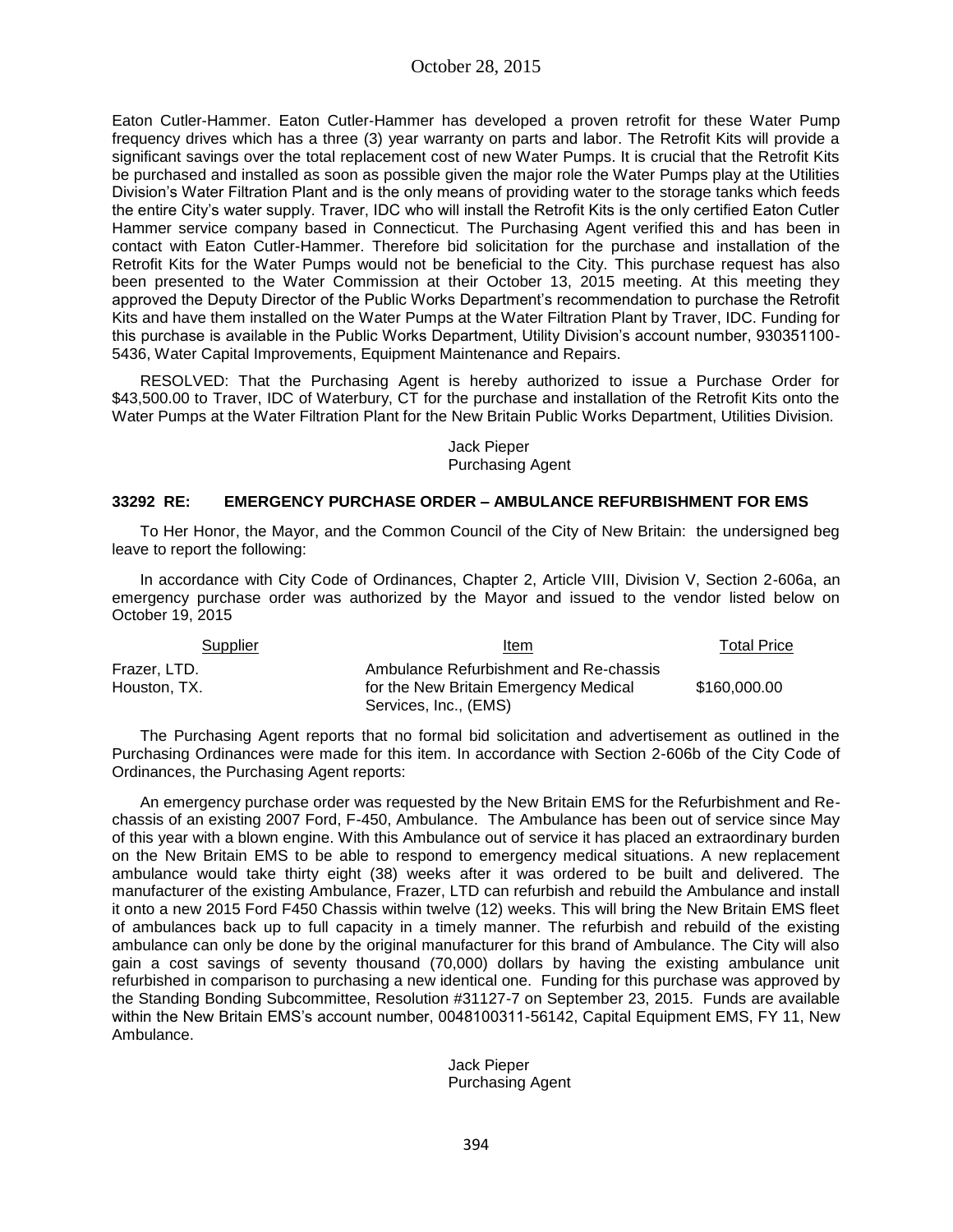Eaton Cutler-Hammer. Eaton Cutler-Hammer has developed a proven retrofit for these Water Pump frequency drives which has a three (3) year warranty on parts and labor. The Retrofit Kits will provide a significant savings over the total replacement cost of new Water Pumps. It is crucial that the Retrofit Kits be purchased and installed as soon as possible given the major role the Water Pumps play at the Utilities Division's Water Filtration Plant and is the only means of providing water to the storage tanks which feeds the entire City's water supply. Traver, IDC who will install the Retrofit Kits is the only certified Eaton Cutler Hammer service company based in Connecticut. The Purchasing Agent verified this and has been in contact with Eaton Cutler-Hammer. Therefore bid solicitation for the purchase and installation of the Retrofit Kits for the Water Pumps would not be beneficial to the City. This purchase request has also been presented to the Water Commission at their October 13, 2015 meeting. At this meeting they approved the Deputy Director of the Public Works Department's recommendation to purchase the Retrofit Kits and have them installed on the Water Pumps at the Water Filtration Plant by Traver, IDC. Funding for this purchase is available in the Public Works Department, Utility Division's account number, 930351100- 5436, Water Capital Improvements, Equipment Maintenance and Repairs.

RESOLVED: That the Purchasing Agent is hereby authorized to issue a Purchase Order for \$43,500.00 to Traver, IDC of Waterbury, CT for the purchase and installation of the Retrofit Kits onto the Water Pumps at the Water Filtration Plant for the New Britain Public Works Department, Utilities Division.

#### Jack Pieper Purchasing Agent

### **33292 RE: EMERGENCY PURCHASE ORDER – AMBULANCE REFURBISHMENT FOR EMS**

To Her Honor, the Mayor, and the Common Council of the City of New Britain: the undersigned beg leave to report the following:

In accordance with City Code of Ordinances, Chapter 2, Article VIII, Division V, Section 2-606a, an emergency purchase order was authorized by the Mayor and issued to the vendor listed below on October 19, 2015

| Supplier     | Item                                   | <b>Total Price</b> |
|--------------|----------------------------------------|--------------------|
| Frazer, LTD. | Ambulance Refurbishment and Re-chassis |                    |
| Houston, TX. | for the New Britain Emergency Medical  | \$160,000.00       |
|              | Services, Inc., (EMS)                  |                    |

The Purchasing Agent reports that no formal bid solicitation and advertisement as outlined in the Purchasing Ordinances were made for this item. In accordance with Section 2-606b of the City Code of Ordinances, the Purchasing Agent reports:

An emergency purchase order was requested by the New Britain EMS for the Refurbishment and Rechassis of an existing 2007 Ford, F-450, Ambulance. The Ambulance has been out of service since May of this year with a blown engine. With this Ambulance out of service it has placed an extraordinary burden on the New Britain EMS to be able to respond to emergency medical situations. A new replacement ambulance would take thirty eight (38) weeks after it was ordered to be built and delivered. The manufacturer of the existing Ambulance, Frazer, LTD can refurbish and rebuild the Ambulance and install it onto a new 2015 Ford F450 Chassis within twelve (12) weeks. This will bring the New Britain EMS fleet of ambulances back up to full capacity in a timely manner. The refurbish and rebuild of the existing ambulance can only be done by the original manufacturer for this brand of Ambulance. The City will also gain a cost savings of seventy thousand (70,000) dollars by having the existing ambulance unit refurbished in comparison to purchasing a new identical one. Funding for this purchase was approved by the Standing Bonding Subcommittee, Resolution #31127-7 on September 23, 2015. Funds are available within the New Britain EMS's account number, 0048100311-56142, Capital Equipment EMS, FY 11, New Ambulance.

> Jack Pieper Purchasing Agent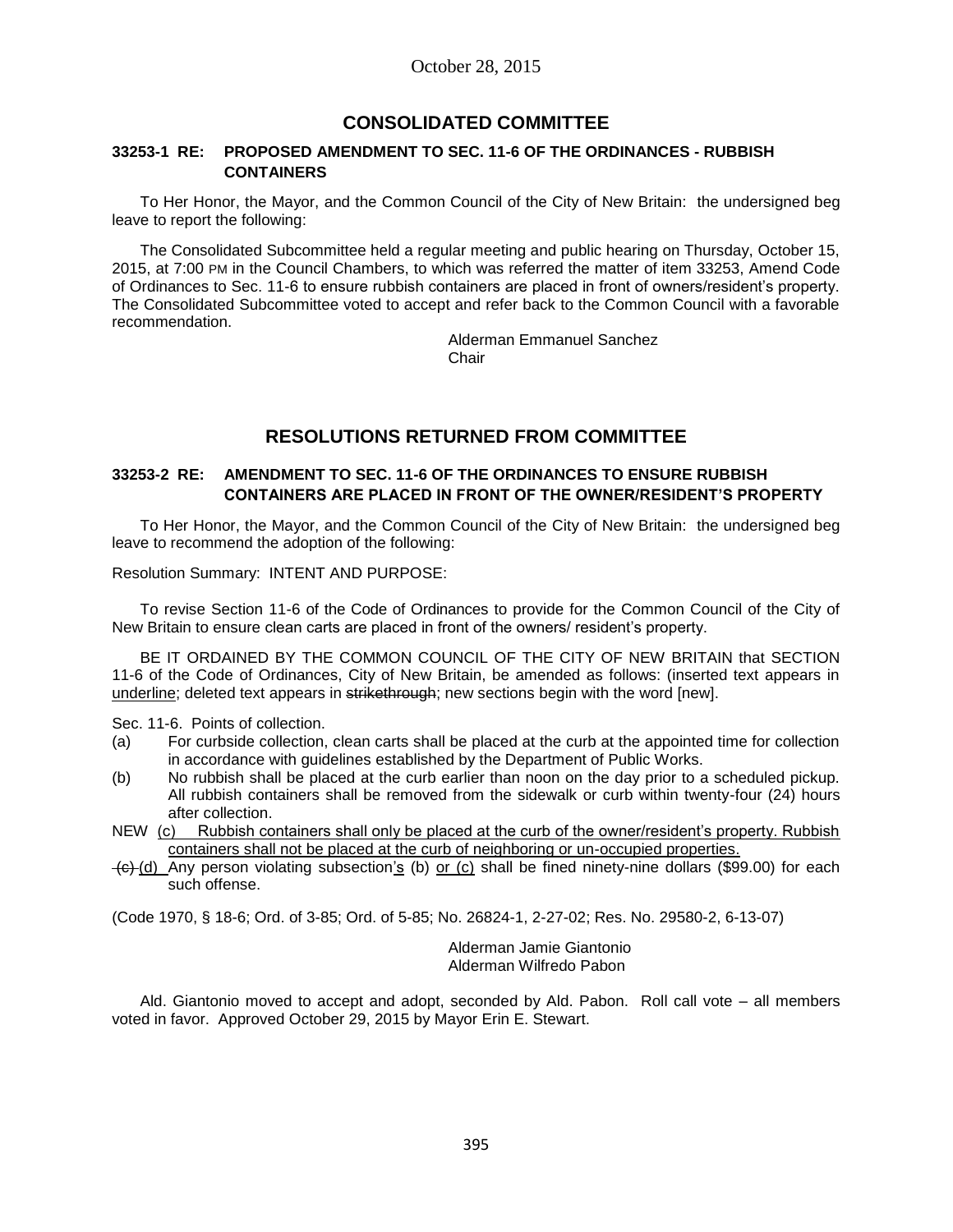# **CONSOLIDATED COMMITTEE**

#### **33253-1 RE: PROPOSED AMENDMENT TO SEC. 11-6 OF THE ORDINANCES - RUBBISH CONTAINERS**

To Her Honor, the Mayor, and the Common Council of the City of New Britain: the undersigned beg leave to report the following:

The Consolidated Subcommittee held a regular meeting and public hearing on Thursday, October 15, 2015, at 7:00 PM in the Council Chambers, to which was referred the matter of item 33253, Amend Code of Ordinances to Sec. 11-6 to ensure rubbish containers are placed in front of owners/resident's property. The Consolidated Subcommittee voted to accept and refer back to the Common Council with a favorable recommendation.

Alderman Emmanuel Sanchez Chair

# **RESOLUTIONS RETURNED FROM COMMITTEE**

### **33253-2 RE: AMENDMENT TO SEC. 11-6 OF THE ORDINANCES TO ENSURE RUBBISH CONTAINERS ARE PLACED IN FRONT OF THE OWNER/RESIDENT'S PROPERTY**

To Her Honor, the Mayor, and the Common Council of the City of New Britain: the undersigned beg leave to recommend the adoption of the following:

Resolution Summary: INTENT AND PURPOSE:

To revise Section 11-6 of the Code of Ordinances to provide for the Common Council of the City of New Britain to ensure clean carts are placed in front of the owners/ resident's property.

BE IT ORDAINED BY THE COMMON COUNCIL OF THE CITY OF NEW BRITAIN that SECTION 11-6 of the Code of Ordinances, City of New Britain, be amended as follows: (inserted text appears in underline; deleted text appears in strikethrough; new sections begin with the word [new].

Sec. 11-6. Points of collection.

- (a) For curbside collection, clean carts shall be placed at the curb at the appointed time for collection in accordance with guidelines established by the Department of Public Works.
- (b) No rubbish shall be placed at the curb earlier than noon on the day prior to a scheduled pickup. All rubbish containers shall be removed from the sidewalk or curb within twenty-four (24) hours after collection.
- NEW (c) Rubbish containers shall only be placed at the curb of the owner/resident's property. Rubbish containers shall not be placed at the curb of neighboring or un-occupied properties.
- $\leftarrow$  (d) Any person violating subsection's (b) or (c) shall be fined ninety-nine dollars (\$99.00) for each such offense.

(Code 1970, § 18-6; Ord. of 3-85; Ord. of 5-85; No. 26824-1, 2-27-02; Res. No. 29580-2, 6-13-07)

Alderman Jamie Giantonio Alderman Wilfredo Pabon

Ald. Giantonio moved to accept and adopt, seconded by Ald. Pabon. Roll call vote – all members voted in favor. Approved October 29, 2015 by Mayor Erin E. Stewart.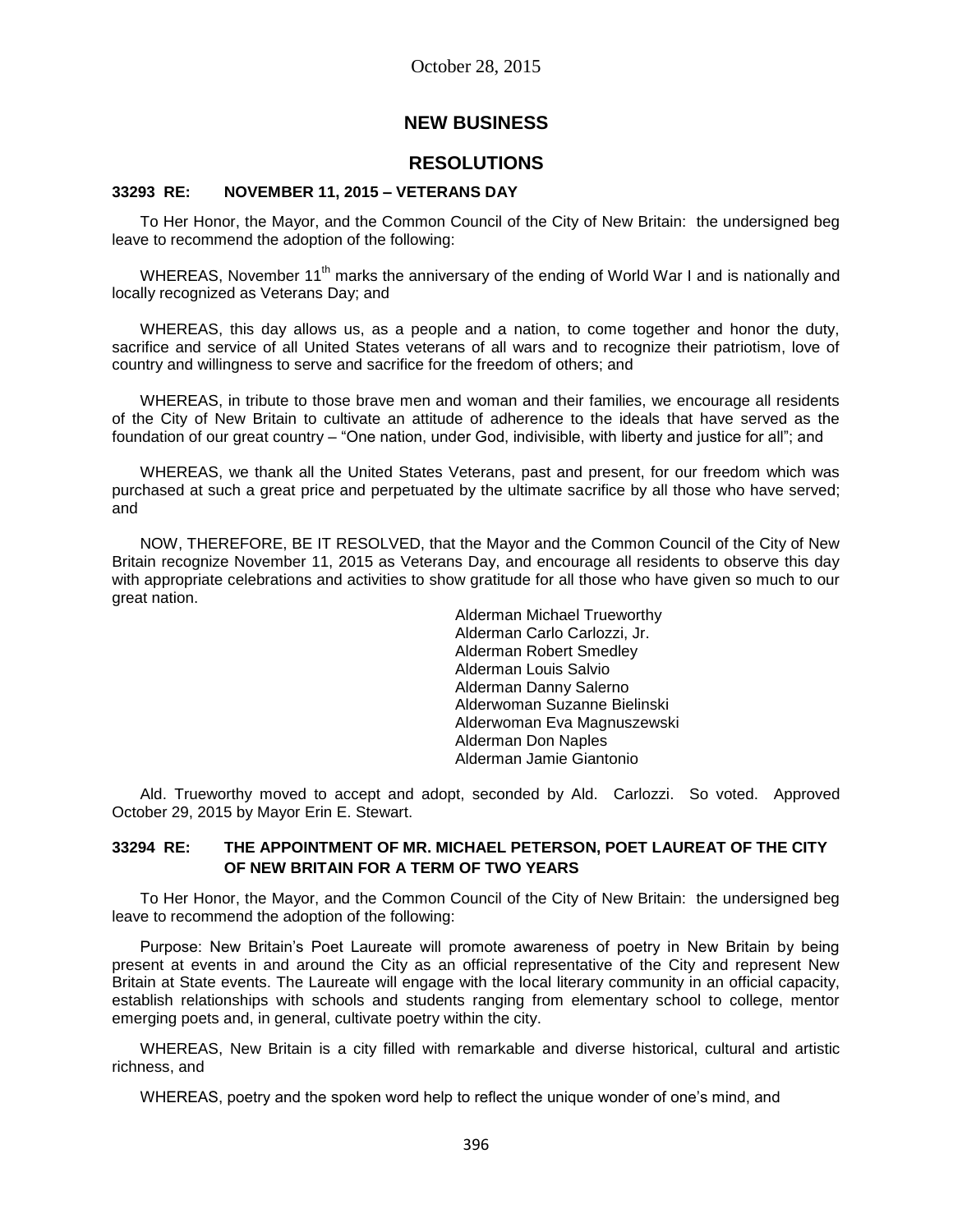# **NEW BUSINESS**

# **RESOLUTIONS**

### **33293 RE: NOVEMBER 11, 2015 – VETERANS DAY**

To Her Honor, the Mayor, and the Common Council of the City of New Britain: the undersigned beg leave to recommend the adoption of the following:

WHEREAS, November 11<sup>th</sup> marks the anniversary of the ending of World War I and is nationally and locally recognized as Veterans Day; and

WHEREAS, this day allows us, as a people and a nation, to come together and honor the duty, sacrifice and service of all United States veterans of all wars and to recognize their patriotism, love of country and willingness to serve and sacrifice for the freedom of others; and

WHEREAS, in tribute to those brave men and woman and their families, we encourage all residents of the City of New Britain to cultivate an attitude of adherence to the ideals that have served as the foundation of our great country – "One nation, under God, indivisible, with liberty and justice for all"; and

WHEREAS, we thank all the United States Veterans, past and present, for our freedom which was purchased at such a great price and perpetuated by the ultimate sacrifice by all those who have served; and

NOW, THEREFORE, BE IT RESOLVED, that the Mayor and the Common Council of the City of New Britain recognize November 11, 2015 as Veterans Day, and encourage all residents to observe this day with appropriate celebrations and activities to show gratitude for all those who have given so much to our great nation.

> Alderman Michael Trueworthy Alderman Carlo Carlozzi, Jr. Alderman Robert Smedley Alderman Louis Salvio Alderman Danny Salerno Alderwoman Suzanne Bielinski Alderwoman Eva Magnuszewski Alderman Don Naples Alderman Jamie Giantonio

Ald. Trueworthy moved to accept and adopt, seconded by Ald. Carlozzi. So voted. Approved October 29, 2015 by Mayor Erin E. Stewart.

### **33294 RE: THE APPOINTMENT OF MR. MICHAEL PETERSON, POET LAUREAT OF THE CITY OF NEW BRITAIN FOR A TERM OF TWO YEARS**

To Her Honor, the Mayor, and the Common Council of the City of New Britain: the undersigned beg leave to recommend the adoption of the following:

Purpose: New Britain's Poet Laureate will promote awareness of poetry in New Britain by being present at events in and around the City as an official representative of the City and represent New Britain at State events. The Laureate will engage with the local literary community in an official capacity, establish relationships with schools and students ranging from elementary school to college, mentor emerging poets and, in general, cultivate poetry within the city.

WHEREAS, New Britain is a city filled with remarkable and diverse historical, cultural and artistic richness, and

WHEREAS, poetry and the spoken word help to reflect the unique wonder of one's mind, and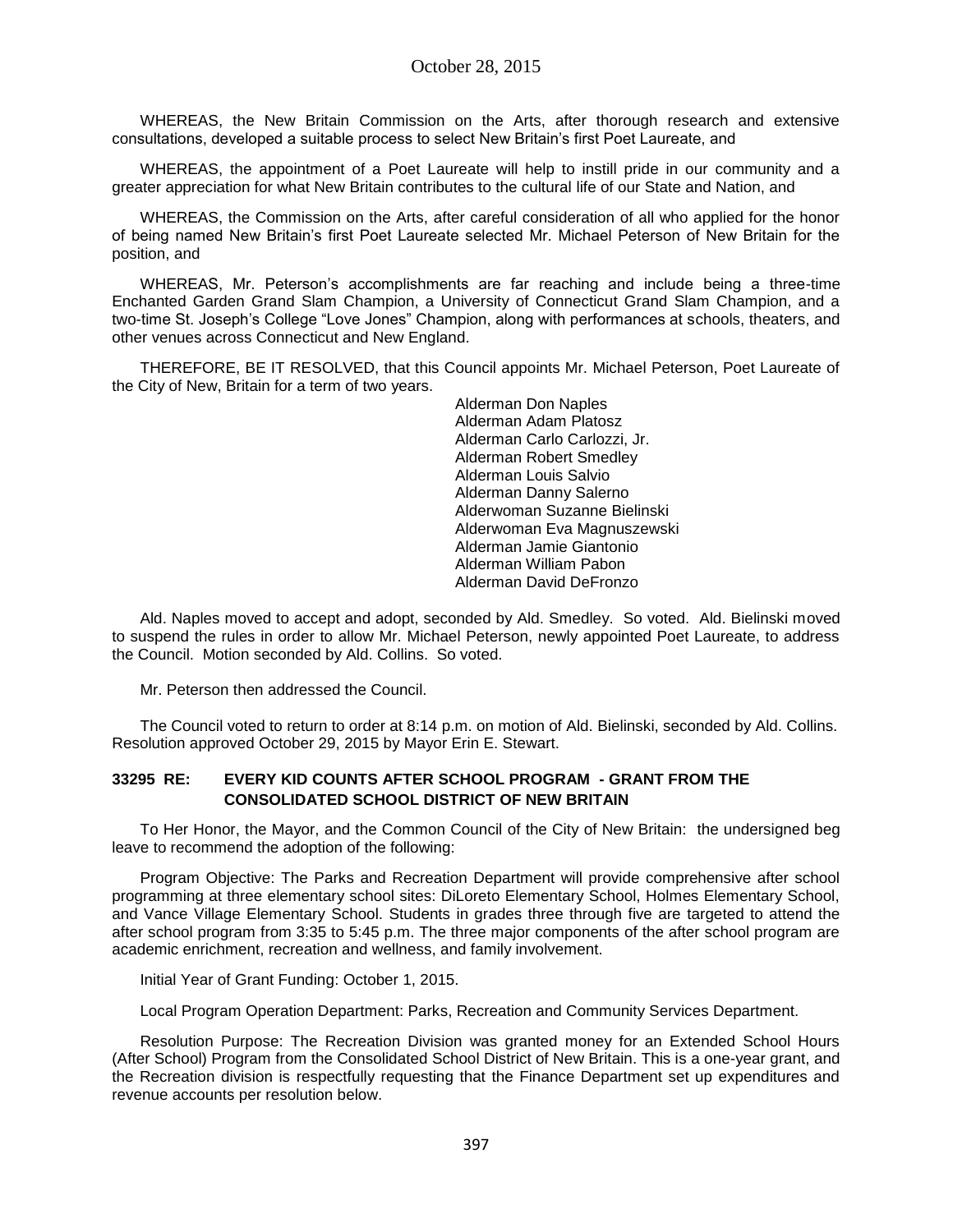WHEREAS, the New Britain Commission on the Arts, after thorough research and extensive consultations, developed a suitable process to select New Britain's first Poet Laureate, and

WHEREAS, the appointment of a Poet Laureate will help to instill pride in our community and a greater appreciation for what New Britain contributes to the cultural life of our State and Nation, and

WHEREAS, the Commission on the Arts, after careful consideration of all who applied for the honor of being named New Britain's first Poet Laureate selected Mr. Michael Peterson of New Britain for the position, and

WHEREAS, Mr. Peterson's accomplishments are far reaching and include being a three-time Enchanted Garden Grand Slam Champion, a University of Connecticut Grand Slam Champion, and a two-time St. Joseph's College "Love Jones" Champion, along with performances at schools, theaters, and other venues across Connecticut and New England.

THEREFORE, BE IT RESOLVED, that this Council appoints Mr. Michael Peterson, Poet Laureate of the City of New, Britain for a term of two years.

> Alderman Don Naples Alderman Adam Platosz Alderman Carlo Carlozzi, Jr. Alderman Robert Smedley Alderman Louis Salvio Alderman Danny Salerno Alderwoman Suzanne Bielinski Alderwoman Eva Magnuszewski Alderman Jamie Giantonio Alderman William Pabon Alderman David DeFronzo

Ald. Naples moved to accept and adopt, seconded by Ald. Smedley. So voted. Ald. Bielinski moved to suspend the rules in order to allow Mr. Michael Peterson, newly appointed Poet Laureate, to address the Council. Motion seconded by Ald. Collins. So voted.

Mr. Peterson then addressed the Council.

The Council voted to return to order at 8:14 p.m. on motion of Ald. Bielinski, seconded by Ald. Collins. Resolution approved October 29, 2015 by Mayor Erin E. Stewart.

### **33295 RE: EVERY KID COUNTS AFTER SCHOOL PROGRAM - GRANT FROM THE CONSOLIDATED SCHOOL DISTRICT OF NEW BRITAIN**

To Her Honor, the Mayor, and the Common Council of the City of New Britain: the undersigned beg leave to recommend the adoption of the following:

Program Objective: The Parks and Recreation Department will provide comprehensive after school programming at three elementary school sites: DiLoreto Elementary School, Holmes Elementary School, and Vance Village Elementary School. Students in grades three through five are targeted to attend the after school program from 3:35 to 5:45 p.m. The three major components of the after school program are academic enrichment, recreation and wellness, and family involvement.

Initial Year of Grant Funding: October 1, 2015.

Local Program Operation Department: Parks, Recreation and Community Services Department.

Resolution Purpose: The Recreation Division was granted money for an Extended School Hours (After School) Program from the Consolidated School District of New Britain. This is a one-year grant, and the Recreation division is respectfully requesting that the Finance Department set up expenditures and revenue accounts per resolution below.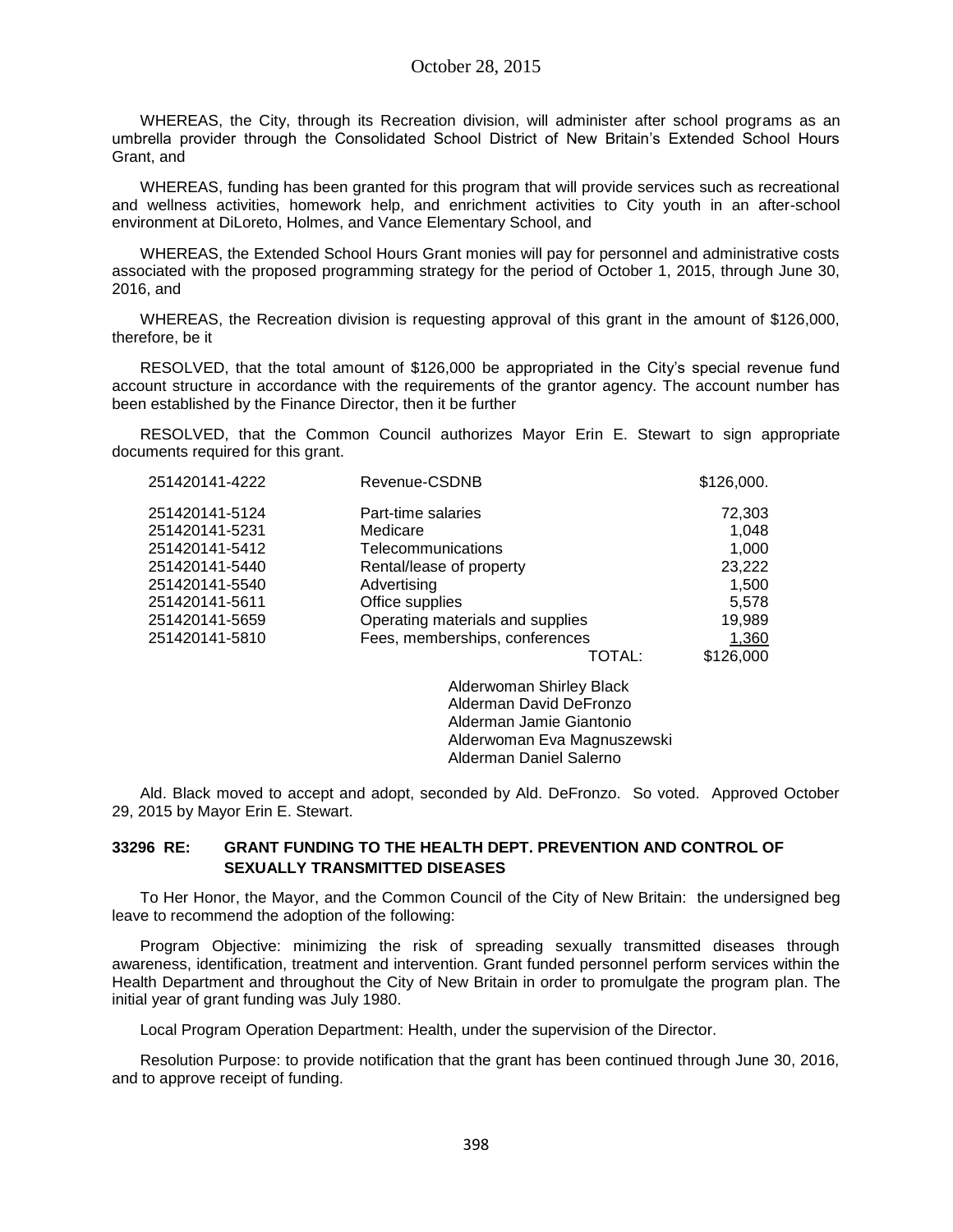October 28, 2015

WHEREAS, the City, through its Recreation division, will administer after school programs as an umbrella provider through the Consolidated School District of New Britain's Extended School Hours Grant, and

WHEREAS, funding has been granted for this program that will provide services such as recreational and wellness activities, homework help, and enrichment activities to City youth in an after-school environment at DiLoreto, Holmes, and Vance Elementary School, and

WHEREAS, the Extended School Hours Grant monies will pay for personnel and administrative costs associated with the proposed programming strategy for the period of October 1, 2015, through June 30, 2016, and

WHEREAS, the Recreation division is requesting approval of this grant in the amount of \$126,000, therefore, be it

RESOLVED, that the total amount of \$126,000 be appropriated in the City's special revenue fund account structure in accordance with the requirements of the grantor agency. The account number has been established by the Finance Director, then it be further

RESOLVED, that the Common Council authorizes Mayor Erin E. Stewart to sign appropriate documents required for this grant.

| 251420141-4222 | Revenue-CSDNB                    | \$126,000. |
|----------------|----------------------------------|------------|
| 251420141-5124 | Part-time salaries               | 72,303     |
| 251420141-5231 | Medicare                         | 1,048      |
| 251420141-5412 | Telecommunications               | 1,000      |
| 251420141-5440 | Rental/lease of property         | 23,222     |
| 251420141-5540 | Advertising                      | 1,500      |
| 251420141-5611 | Office supplies                  | 5,578      |
| 251420141-5659 | Operating materials and supplies | 19,989     |
| 251420141-5810 | Fees, memberships, conferences   | 1,360      |
|                | TOTAL:                           | \$126,000  |
|                | Alderwoman Shirley Black         |            |
|                | Alderman David DeFronzo          |            |
|                | Alderman Jamie Giantonio         |            |

Ald. Black moved to accept and adopt, seconded by Ald. DeFronzo. So voted. Approved October 29, 2015 by Mayor Erin E. Stewart.

Alderwoman Eva Magnuszewski Alderman Daniel Salerno

### **33296 RE: GRANT FUNDING TO THE HEALTH DEPT. PREVENTION AND CONTROL OF SEXUALLY TRANSMITTED DISEASES**

To Her Honor, the Mayor, and the Common Council of the City of New Britain: the undersigned beg leave to recommend the adoption of the following:

Program Objective: minimizing the risk of spreading sexually transmitted diseases through awareness, identification, treatment and intervention. Grant funded personnel perform services within the Health Department and throughout the City of New Britain in order to promulgate the program plan. The initial year of grant funding was July 1980.

Local Program Operation Department: Health, under the supervision of the Director.

Resolution Purpose: to provide notification that the grant has been continued through June 30, 2016, and to approve receipt of funding.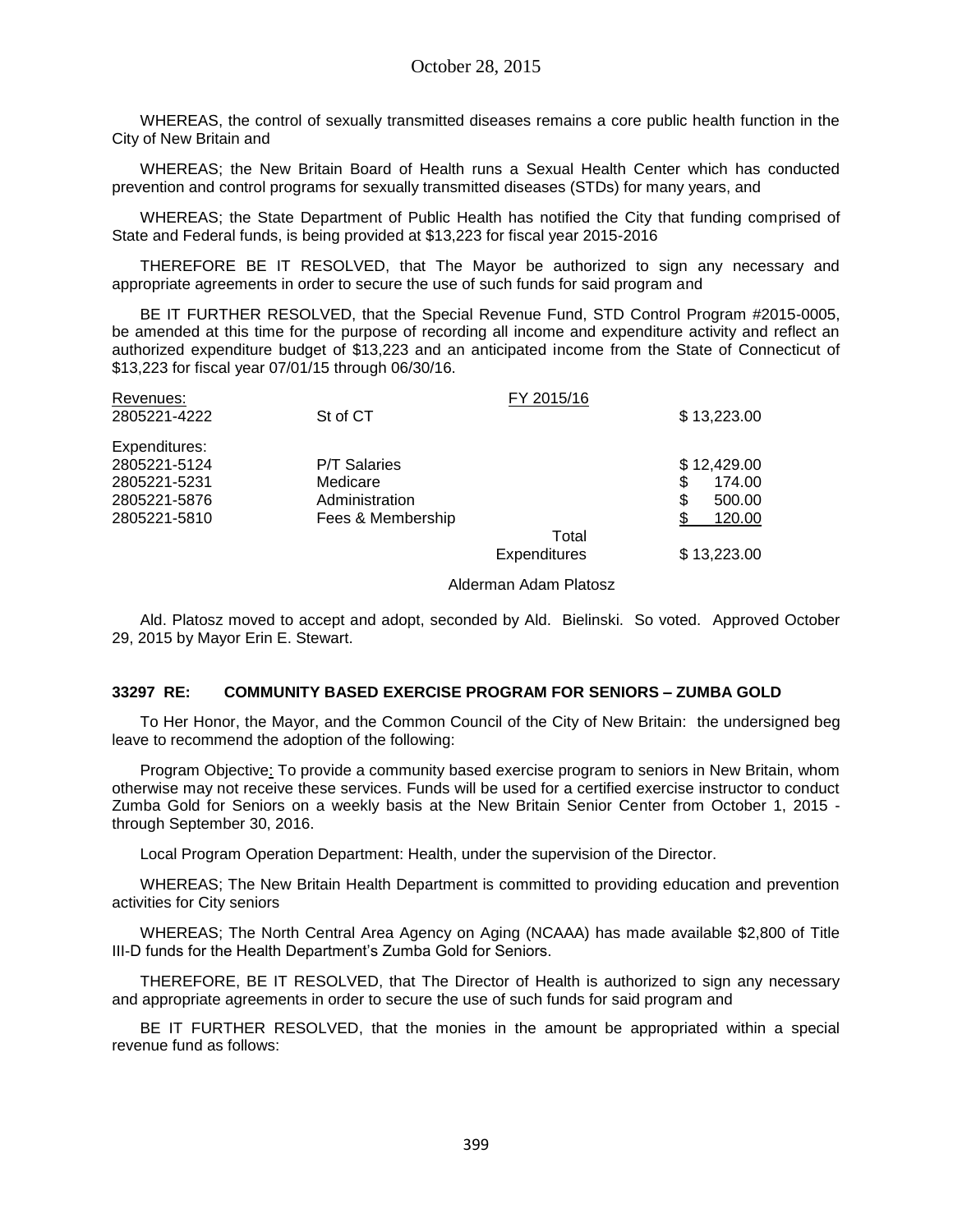WHEREAS, the control of sexually transmitted diseases remains a core public health function in the City of New Britain and

WHEREAS; the New Britain Board of Health runs a Sexual Health Center which has conducted prevention and control programs for sexually transmitted diseases (STDs) for many years, and

WHEREAS; the State Department of Public Health has notified the City that funding comprised of State and Federal funds, is being provided at \$13,223 for fiscal year 2015-2016

THEREFORE BE IT RESOLVED, that The Mayor be authorized to sign any necessary and appropriate agreements in order to secure the use of such funds for said program and

BE IT FURTHER RESOLVED, that the Special Revenue Fund, STD Control Program #2015-0005, be amended at this time for the purpose of recording all income and expenditure activity and reflect an authorized expenditure budget of \$13,223 and an anticipated income from the State of Connecticut of \$13,223 for fiscal year 07/01/15 through 06/30/16.

| Revenues:     |                     | FY 2015/16   |             |
|---------------|---------------------|--------------|-------------|
| 2805221-4222  | St of CT            |              | \$13,223.00 |
| Expenditures: |                     |              |             |
| 2805221-5124  | <b>P/T Salaries</b> |              | \$12,429.00 |
| 2805221-5231  | Medicare            |              | 174.00      |
| 2805221-5876  | Administration      |              | 500.00      |
| 2805221-5810  | Fees & Membership   |              | 120.00      |
|               |                     | Total        |             |
|               |                     | Expenditures | \$13,223.00 |

#### Alderman Adam Platosz

Ald. Platosz moved to accept and adopt, seconded by Ald. Bielinski. So voted. Approved October 29, 2015 by Mayor Erin E. Stewart.

#### **33297 RE: COMMUNITY BASED EXERCISE PROGRAM FOR SENIORS – ZUMBA GOLD**

To Her Honor, the Mayor, and the Common Council of the City of New Britain: the undersigned beg leave to recommend the adoption of the following:

Program Objective: To provide a community based exercise program to seniors in New Britain, whom otherwise may not receive these services. Funds will be used for a certified exercise instructor to conduct Zumba Gold for Seniors on a weekly basis at the New Britain Senior Center from October 1, 2015 through September 30, 2016.

Local Program Operation Department: Health, under the supervision of the Director.

WHEREAS; The New Britain Health Department is committed to providing education and prevention activities for City seniors

WHEREAS; The North Central Area Agency on Aging (NCAAA) has made available \$2,800 of Title III-D funds for the Health Department's Zumba Gold for Seniors.

THEREFORE, BE IT RESOLVED, that The Director of Health is authorized to sign any necessary and appropriate agreements in order to secure the use of such funds for said program and

BE IT FURTHER RESOLVED, that the monies in the amount be appropriated within a special revenue fund as follows: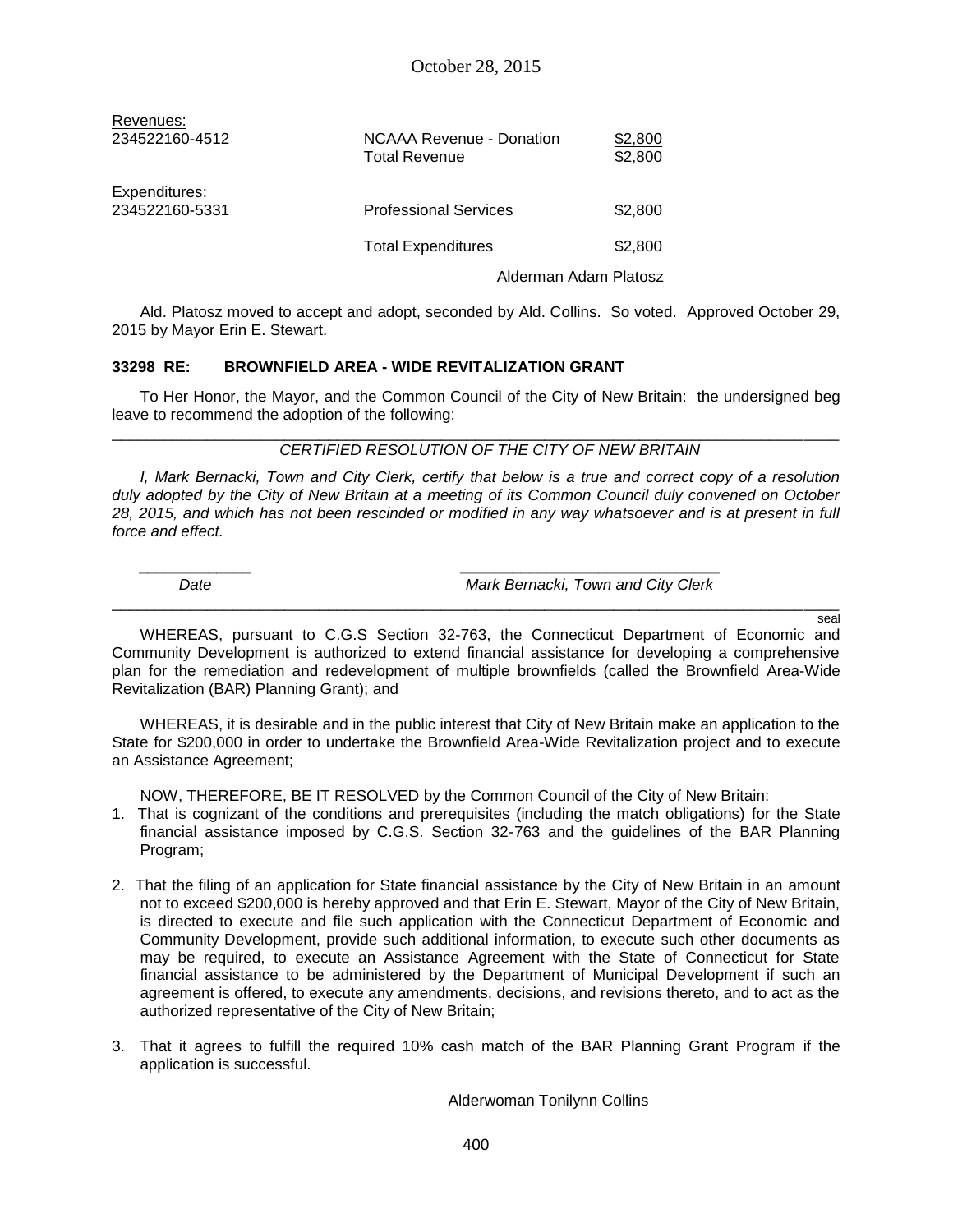| Revenues:      |                                                  |                       |
|----------------|--------------------------------------------------|-----------------------|
| 234522160-4512 | <b>NCAAA Revenue - Donation</b><br>Total Revenue | \$2,800<br>\$2,800    |
| Expenditures:  |                                                  |                       |
| 234522160-5331 | <b>Professional Services</b>                     | \$2,800               |
|                | <b>Total Expenditures</b>                        | \$2,800               |
|                |                                                  | Alderman Adam Platosz |

Ald. Platosz moved to accept and adopt, seconded by Ald. Collins. So voted. Approved October 29, 2015 by Mayor Erin E. Stewart.

#### **33298 RE: BROWNFIELD AREA - WIDE REVITALIZATION GRANT**

To Her Honor, the Mayor, and the Common Council of the City of New Britain: the undersigned beg leave to recommend the adoption of the following: \_\_\_\_\_\_\_\_\_\_\_\_\_\_\_\_\_\_\_\_\_\_\_\_\_\_\_\_\_\_\_\_\_\_\_\_\_\_\_\_\_\_\_\_\_\_\_\_\_\_\_\_\_\_\_\_\_\_\_\_\_\_\_\_\_\_\_\_\_\_\_\_\_\_\_\_\_\_\_\_\_\_\_\_

### *CERTIFIED RESOLUTION OF THE CITY OF NEW BRITAIN*

*I, Mark Bernacki, Town and City Clerk, certify that below is a true and correct copy of a resolution duly adopted by the City of New Britain at a meeting of its Common Council duly convened on October 28, 2015, and which has not been rescinded or modified in any way whatsoever and is at present in full force and effect.*

*\_\_\_\_\_\_\_\_\_\_\_\_\_ \_\_\_\_\_\_\_\_\_\_\_\_\_\_\_\_\_\_\_\_\_\_\_\_\_\_\_\_\_\_*

 *Date Mark Bernacki, Town and City Clerk*

\_\_\_\_\_\_\_\_\_\_\_\_\_\_\_\_\_\_\_\_\_\_\_\_\_\_\_\_\_\_\_\_\_\_\_\_\_\_\_\_\_\_\_\_\_\_\_\_\_\_\_\_\_\_\_\_\_\_\_\_\_\_\_\_\_\_\_\_\_\_\_\_\_\_\_\_\_\_\_\_\_\_\_\_ seal

WHEREAS, pursuant to C.G.S Section 32-763, the Connecticut Department of Economic and Community Development is authorized to extend financial assistance for developing a comprehensive plan for the remediation and redevelopment of multiple brownfields (called the Brownfield Area-Wide Revitalization (BAR) Planning Grant); and

WHEREAS, it is desirable and in the public interest that City of New Britain make an application to the State for \$200,000 in order to undertake the Brownfield Area-Wide Revitalization project and to execute an Assistance Agreement;

NOW, THEREFORE, BE IT RESOLVED by the Common Council of the City of New Britain:

- 1. That is cognizant of the conditions and prerequisites (including the match obligations) for the State financial assistance imposed by C.G.S. Section 32-763 and the guidelines of the BAR Planning Program;
- 2. That the filing of an application for State financial assistance by the City of New Britain in an amount not to exceed \$200,000 is hereby approved and that Erin E. Stewart, Mayor of the City of New Britain, is directed to execute and file such application with the Connecticut Department of Economic and Community Development, provide such additional information, to execute such other documents as may be required, to execute an Assistance Agreement with the State of Connecticut for State financial assistance to be administered by the Department of Municipal Development if such an agreement is offered, to execute any amendments, decisions, and revisions thereto, and to act as the authorized representative of the City of New Britain;
- 3. That it agrees to fulfill the required 10% cash match of the BAR Planning Grant Program if the application is successful.

Alderwoman Tonilynn Collins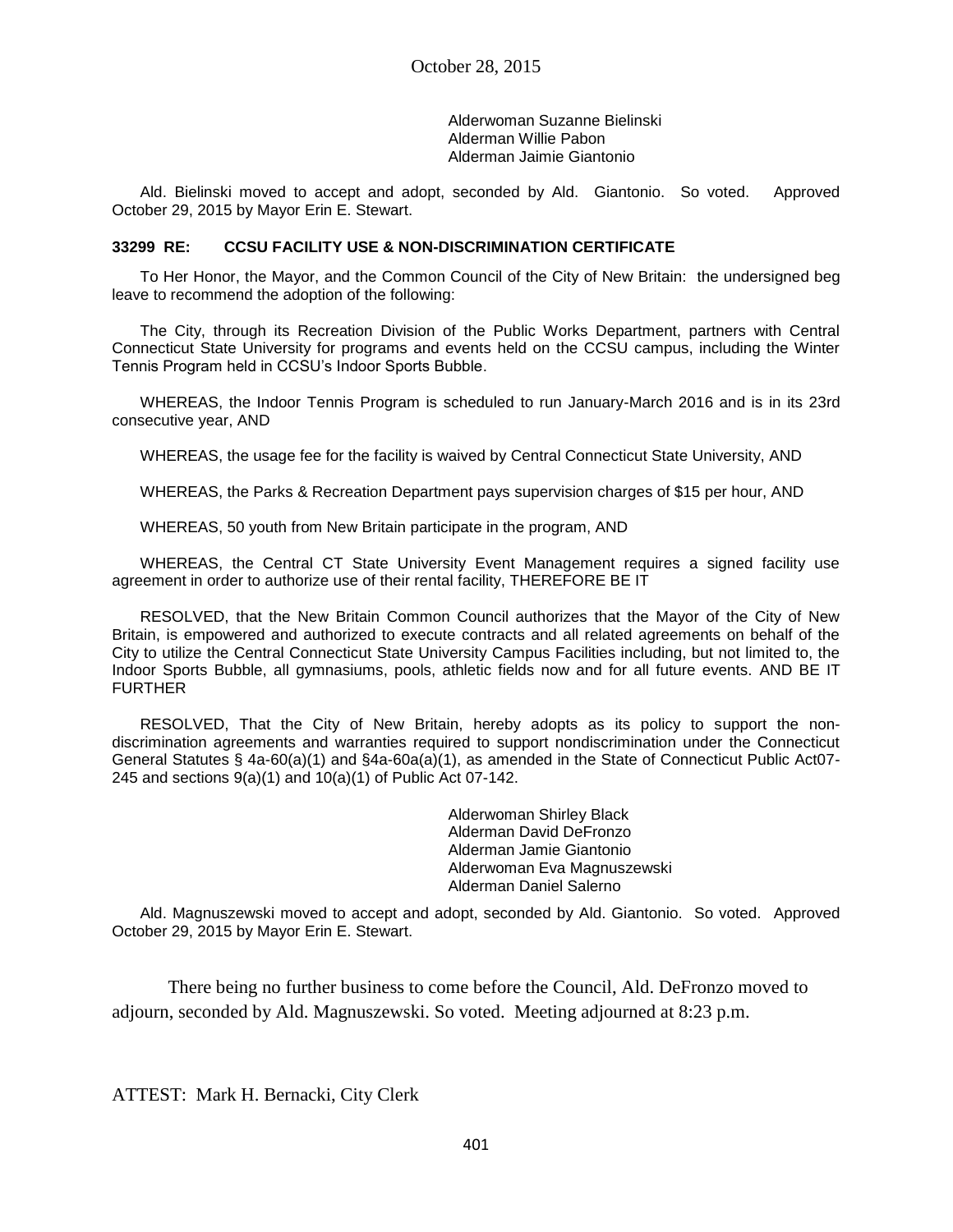Alderwoman Suzanne Bielinski Alderman Willie Pabon Alderman Jaimie Giantonio

Ald. Bielinski moved to accept and adopt, seconded by Ald. Giantonio. So voted. Approved October 29, 2015 by Mayor Erin E. Stewart.

#### **33299 RE: CCSU FACILITY USE & NON-DISCRIMINATION CERTIFICATE**

To Her Honor, the Mayor, and the Common Council of the City of New Britain: the undersigned beg leave to recommend the adoption of the following:

The City, through its Recreation Division of the Public Works Department, partners with Central Connecticut State University for programs and events held on the CCSU campus, including the Winter Tennis Program held in CCSU's Indoor Sports Bubble.

WHEREAS, the Indoor Tennis Program is scheduled to run January-March 2016 and is in its 23rd consecutive year, AND

WHEREAS, the usage fee for the facility is waived by Central Connecticut State University, AND

WHEREAS, the Parks & Recreation Department pays supervision charges of \$15 per hour, AND

WHEREAS, 50 youth from New Britain participate in the program, AND

WHEREAS, the Central CT State University Event Management requires a signed facility use agreement in order to authorize use of their rental facility, THEREFORE BE IT

RESOLVED, that the New Britain Common Council authorizes that the Mayor of the City of New Britain, is empowered and authorized to execute contracts and all related agreements on behalf of the City to utilize the Central Connecticut State University Campus Facilities including, but not limited to, the Indoor Sports Bubble, all gymnasiums, pools, athletic fields now and for all future events. AND BE IT FURTHER

RESOLVED, That the City of New Britain, hereby adopts as its policy to support the nondiscrimination agreements and warranties required to support nondiscrimination under the Connecticut General Statutes § 4a-60(a)(1) and §4a-60a(a)(1), as amended in the State of Connecticut Public Act07- 245 and sections 9(a)(1) and 10(a)(1) of Public Act 07-142.

> Alderwoman Shirley Black Alderman David DeFronzo Alderman Jamie Giantonio Alderwoman Eva Magnuszewski Alderman Daniel Salerno

Ald. Magnuszewski moved to accept and adopt, seconded by Ald. Giantonio. So voted. Approved October 29, 2015 by Mayor Erin E. Stewart.

There being no further business to come before the Council, Ald. DeFronzo moved to adjourn, seconded by Ald. Magnuszewski. So voted. Meeting adjourned at 8:23 p.m.

ATTEST: Mark H. Bernacki, City Clerk